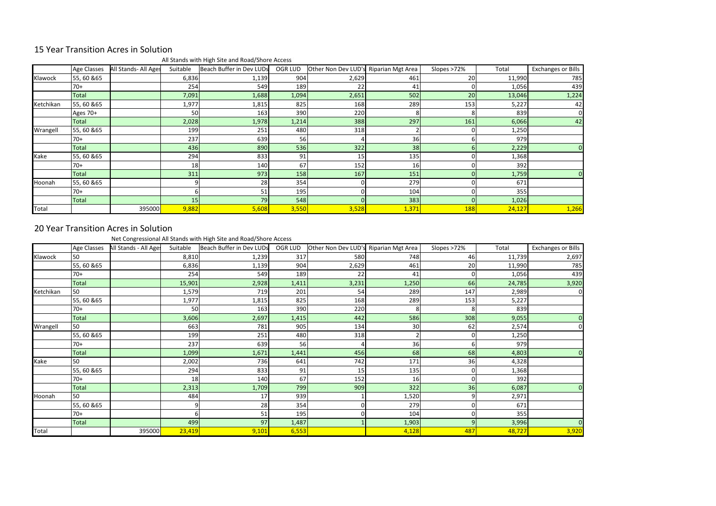## 15 Year Transition Acres in Solution

All Stands with High Site and Road/Shore Access

|              | Age Classes  | All Stands- All Ages | Suitable | Beach Buffer in Dev LUDs | OGR LUD | Other Non Dev LUD's | Riparian Mgt Area | Slopes >72% | Total  | Exchanges or Bills |
|--------------|--------------|----------------------|----------|--------------------------|---------|---------------------|-------------------|-------------|--------|--------------------|
| Klawock      | 55,60 & 65   |                      | 6,836    | 1,139                    | 904     | 2,629               | 461               | 20          | 11,990 | 785                |
|              | $70+$        |                      | 254      | 549                      | 189     | 22                  | 41                |             | 1,056  | 439                |
|              | <b>Total</b> |                      | 7,091    | 1,688                    | 1,094   | 2,651               | 502               | 20          | 13,046 | 1,224              |
| Ketchikan    | 55,60 & 65   |                      | 1,977    | 1,815                    | 825     | 168                 | 289               | 153         | 5,227  | 42                 |
|              | Ages 70+     |                      | 50       | 163                      | 390     | 220                 | 81                |             | 839    | $\Omega$           |
|              | <b>Total</b> |                      | 2,028    | 1,978                    | 1,214   | 388                 | 297               | 161         | 6,066  | 42                 |
| Wrangell     | 55, 60 & 65  |                      | 199      | 251                      | 480     | 318                 |                   |             | 1,250  |                    |
|              | $70+$        |                      | 237      | 639                      | 56      |                     | 36                |             | 979    |                    |
|              | Total        |                      | 436      | 890                      | 536     | 322                 | 38                |             | 2,229  |                    |
| Kake         | 55, 60 & 65  |                      | 294      | 833                      | 91      | 15                  | 135               |             | 1,368  |                    |
|              | $70+$        |                      | 18       | 140                      | 67      | 152                 | 16                |             | 392    |                    |
|              | <b>Total</b> |                      | 311      | 973                      | 158     | 167                 | 151               |             | 1,759  |                    |
| Hoonah       | 55, 60 & 65  |                      |          | 28                       | 354     |                     | 279               |             | 671    |                    |
|              | $70+$        |                      |          | 51                       | 195     |                     | 104               |             | 355    |                    |
|              | Total        |                      | 15       | 79                       | 548     |                     | 383               |             | 1,026  |                    |
| <b>Total</b> |              | 395000               | 9,882    | 5,608                    | 3,550   | 3,528               | 1,371             | <b>188</b>  | 24,127 | 1,266              |

## 20 Year Transition Acres in Solution

Net Congressional All Stands with High Site and Road/Shore Access

|           | Age Classes  | All Stands - All Ages | Suitable       | Beach Buffer in Dev LUDs | OGR LUD | Other Non Dev LUD's Riparian Mgt Area |       | Slopes >72%    | Total  | <b>Exchanges or Bills</b> |
|-----------|--------------|-----------------------|----------------|--------------------------|---------|---------------------------------------|-------|----------------|--------|---------------------------|
| Klawock   | 50           |                       | 8,810          | 1,239                    | 317     | 580                                   | 748   | 46             | 11,739 | 2,697                     |
|           | 55,60 & 65   |                       | 6,836          | 1,139                    | 904     | 2,629                                 | 461   | 20             | 11,990 | 785                       |
|           | $70+$        |                       | 254            | 549                      | 189     | 22                                    | 41    | $\overline{0}$ | 1,056  | 439                       |
|           | <b>Total</b> |                       | 15,901         | 2,928                    | 1,411   | 3,231                                 | 1,250 | 66             | 24,785 | 3,920                     |
| Ketchikan | 50           |                       | 1,579          | 719                      | 201     | 54                                    | 289   | 147            | 2,989  | 0                         |
|           | 55,60 & 65   |                       | 1,977          | 1,815                    | 825     | 168                                   | 289   | 153            | 5,227  |                           |
|           | $70+$        |                       | 50             | 163                      | 390     | 220                                   |       | 8              | 839    |                           |
|           | Total        |                       | 3,606          | 2,697                    | 1,415   | 442                                   | 586   | 308            | 9,055  |                           |
| Wrangell  | 50           |                       | 663            | 781                      | 905     | 134                                   | 30    | 62             | 2,574  |                           |
|           | 55,60 & 65   |                       | 199            | 251                      | 480     | 318                                   |       | $\overline{0}$ | 1,250  |                           |
|           | $70+$        |                       | 237            | 639                      | 56      |                                       | 36    | 6              | 979    |                           |
|           | <b>Total</b> |                       | 1,099          | 1,671                    | 1,441   | 456                                   | 68    | 68             | 4,803  |                           |
| Kake      | 50           |                       | 2,002          | 736                      | 641     | 742                                   | 171   | 36             | 4,328  |                           |
|           | 55,60 & 65   |                       | 294            | 833                      | 91      | 15                                    | 135   | $\Omega$       | 1,368  |                           |
|           | $70+$        |                       | 18             | 140                      | 67      | 152                                   | 16    | $\Omega$       | 392    |                           |
|           | <b>Total</b> |                       | 2,313          | 1,709                    | 799     | 909                                   | 322   | 36             | 6,087  |                           |
| Hoonah    | 50           |                       | 484            | 17                       | 939     |                                       | 1,520 | 9              | 2,971  |                           |
|           | 55, 60 & 65  |                       | $\overline{9}$ | 28                       | 354     | ΩI                                    | 279   | $\overline{0}$ | 671    |                           |
|           | $70+$        |                       | 6 I            | 51                       | 195     | 0                                     | 104   | $\overline{0}$ | 355    |                           |
|           | <b>Total</b> |                       | 499            | 97                       | 1,487   |                                       | 1,903 | $\overline{9}$ | 3,996  |                           |
| Total     |              | 395000                | 23,419         | 9,101                    | 6,553   |                                       | 4,128 | 487            | 48,727 | 3,920                     |

| hanges or Bills |
|-----------------|
| 2,697           |
| 785             |
| 439             |
| 3,920           |
| O               |
|                 |
|                 |
| $\mathbf{0}$    |
| 0               |
|                 |
|                 |
| 0               |
|                 |
|                 |
|                 |
| 0               |
|                 |
|                 |
|                 |
| 0               |
| 3,920           |